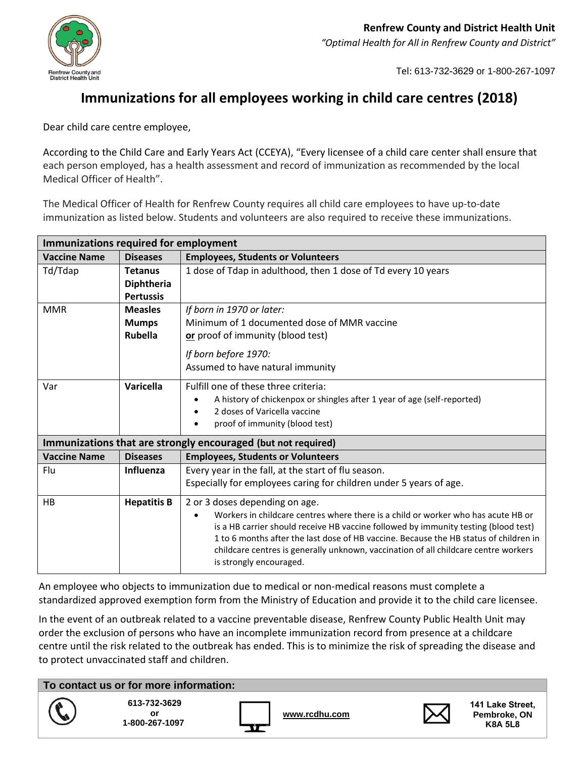

Tel: 613-732-3629 or 1-800-267-1097

## **Immunizations for all employees working in child care centres (2018)**

Dear child care centre employee,

According to the Child Care and Early Years Act (CCEYA), "Every licensee of a child care center shall ensure that each person employed, has a health assessment and record of immunization as recommended by the local Medical Officer of Health".

The Medical Officer of Health for Renfrew County requires all child care employees to have up-to-date immunization as listed below. Students and volunteers are also required to receive these immunizations.

| <b>Immunizations required for employment</b> |                    |                                                                                                                                                                                                                                                                                                                                                                                     |  |  |  |  |
|----------------------------------------------|--------------------|-------------------------------------------------------------------------------------------------------------------------------------------------------------------------------------------------------------------------------------------------------------------------------------------------------------------------------------------------------------------------------------|--|--|--|--|
| <b>Vaccine Name</b>                          | <b>Diseases</b>    | <b>Employees, Students or Volunteers</b>                                                                                                                                                                                                                                                                                                                                            |  |  |  |  |
| Td/Tdap                                      | <b>Tetanus</b>     | 1 dose of Tdap in adulthood, then 1 dose of Td every 10 years                                                                                                                                                                                                                                                                                                                       |  |  |  |  |
|                                              | <b>Diphtheria</b>  |                                                                                                                                                                                                                                                                                                                                                                                     |  |  |  |  |
|                                              | <b>Pertussis</b>   |                                                                                                                                                                                                                                                                                                                                                                                     |  |  |  |  |
| <b>MMR</b>                                   | <b>Measles</b>     | If born in 1970 or later:                                                                                                                                                                                                                                                                                                                                                           |  |  |  |  |
|                                              | <b>Mumps</b>       | Minimum of 1 documented dose of MMR vaccine                                                                                                                                                                                                                                                                                                                                         |  |  |  |  |
|                                              | <b>Rubella</b>     | or proof of immunity (blood test)                                                                                                                                                                                                                                                                                                                                                   |  |  |  |  |
|                                              |                    | If born before 1970:                                                                                                                                                                                                                                                                                                                                                                |  |  |  |  |
|                                              |                    | Assumed to have natural immunity                                                                                                                                                                                                                                                                                                                                                    |  |  |  |  |
|                                              |                    |                                                                                                                                                                                                                                                                                                                                                                                     |  |  |  |  |
| Var                                          | <b>Varicella</b>   | Fulfill one of these three criteria:                                                                                                                                                                                                                                                                                                                                                |  |  |  |  |
|                                              |                    | A history of chickenpox or shingles after 1 year of age (self-reported)                                                                                                                                                                                                                                                                                                             |  |  |  |  |
|                                              |                    | 2 doses of Varicella vaccine                                                                                                                                                                                                                                                                                                                                                        |  |  |  |  |
|                                              |                    | proof of immunity (blood test)                                                                                                                                                                                                                                                                                                                                                      |  |  |  |  |
|                                              |                    | Immunizations that are strongly encouraged (but not required)                                                                                                                                                                                                                                                                                                                       |  |  |  |  |
| <b>Vaccine Name</b>                          | <b>Diseases</b>    | <b>Employees, Students or Volunteers</b>                                                                                                                                                                                                                                                                                                                                            |  |  |  |  |
| Flu                                          | <b>Influenza</b>   | Every year in the fall, at the start of flu season.                                                                                                                                                                                                                                                                                                                                 |  |  |  |  |
|                                              |                    | Especially for employees caring for children under 5 years of age.                                                                                                                                                                                                                                                                                                                  |  |  |  |  |
| HB                                           | <b>Hepatitis B</b> | 2 or 3 doses depending on age.                                                                                                                                                                                                                                                                                                                                                      |  |  |  |  |
|                                              |                    | Workers in childcare centres where there is a child or worker who has acute HB or<br>is a HB carrier should receive HB vaccine followed by immunity testing (blood test)<br>1 to 6 months after the last dose of HB vaccine. Because the HB status of children in<br>childcare centres is generally unknown, vaccination of all childcare centre workers<br>is strongly encouraged. |  |  |  |  |

An employee who objects to immunization due to medical or non-medical reasons must complete a standardized approved exemption form from the Ministry of Education and provide it to the child care licensee.

In the event of an outbreak related to a vaccine preventable disease, Renfrew County Public Health Unit may order the exclusion of persons who have an incomplete immunization record from presence at a childcare centre until the risk related to the outbreak has ended. This is to minimize the risk of spreading the disease and to protect unvaccinated staff and children.

**To contact us or for more information:**





**[www.rcdhu.com](http://www.rcdhu.com/)**



**141 Lake Street, Pembroke, ON K8A 5L8**